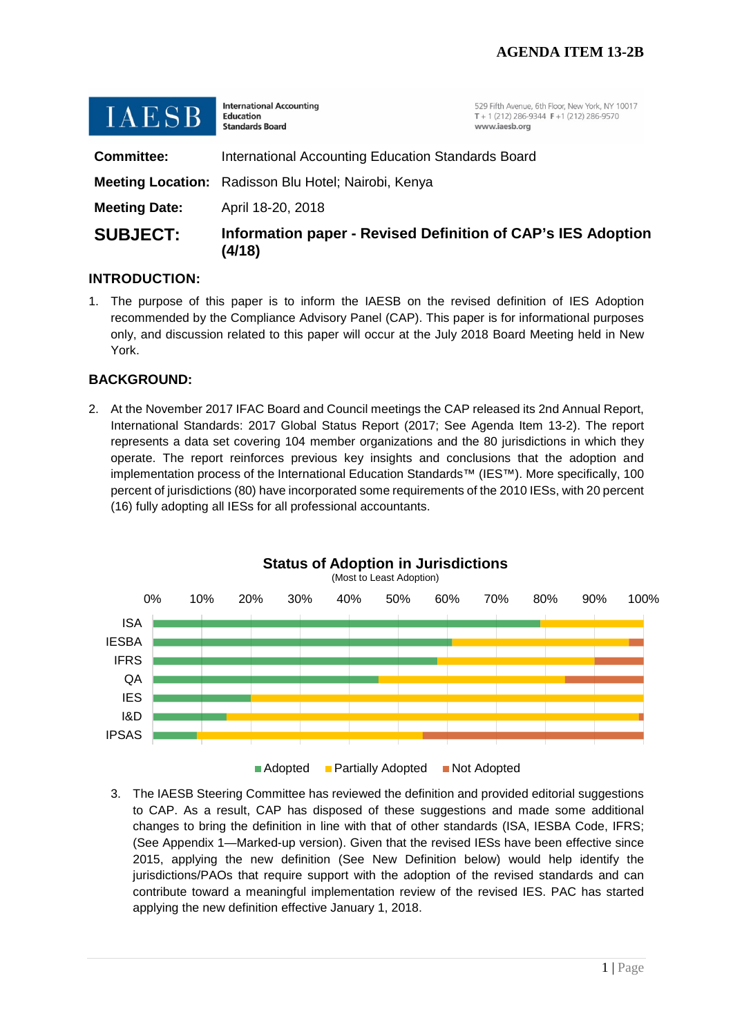| $\blacksquare$ $\blacksquare$ $\blacksquare$ $\blacksquare$ $\blacksquare$ $\blacksquare$ $\blacksquare$ | <b>Education</b><br><b>Standards Board</b>                             | $T + 1(212)$ 286-9344 F +1 (212) 286-9570<br>www.iaesb.org |
|----------------------------------------------------------------------------------------------------------|------------------------------------------------------------------------|------------------------------------------------------------|
| <b>Committee:</b>                                                                                        | International Accounting Education Standards Board                     |                                                            |
|                                                                                                          | Meeting Location: Radisson Blu Hotel; Nairobi, Kenya                   |                                                            |
| <b>Meeting Date:</b>                                                                                     | April 18-20, 2018                                                      |                                                            |
| <b>SUBJECT:</b>                                                                                          | Information paper - Revised Definition of CAP's IES Adoption<br>(4/18) |                                                            |

### **INTRODUCTION:**

1. The purpose of this paper is to inform the IAESB on the revised definition of IES Adoption recommended by the Compliance Advisory Panel (CAP). This paper is for informational purposes only, and discussion related to this paper will occur at the July 2018 Board Meeting held in New York.

#### **BACKGROUND:**

2. At the November 2017 IFAC Board and Council meetings the CAP released its 2nd Annual Report, International Standards: 2017 Global Status Report (2017; See Agenda Item 13-2). The report represents a data set covering 104 member organizations and the 80 jurisdictions in which they operate. The report reinforces previous key insights and conclusions that the adoption and implementation process of the International Education Standards™ (IES™). More specifically, 100 percent of jurisdictions (80) have incorporated some requirements of the 2010 IESs, with 20 percent (16) fully adopting all IESs for all professional accountants.



3. The IAESB Steering Committee has reviewed the definition and provided editorial suggestions to CAP. As a result, CAP has disposed of these suggestions and made some additional changes to bring the definition in line with that of other standards (ISA, IESBA Code, IFRS; (See Appendix 1—Marked-up version). Given that the revised IESs have been effective since 2015, applying the new definition (See New Definition below) would help identify the jurisdictions/PAOs that require support with the adoption of the revised standards and can contribute toward a meaningful implementation review of the revised IES. PAC has started applying the new definition effective January 1, 2018.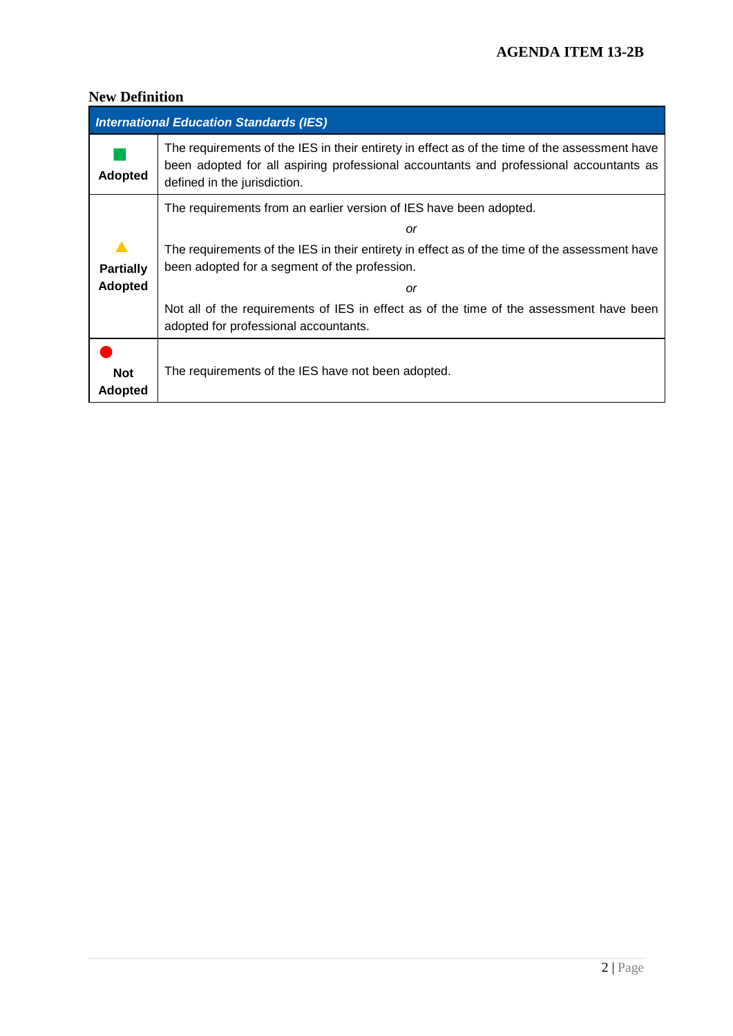## **New Definition**

| <b>International Education Standards (IES)</b> |                                                                                                                                                                                                                         |  |
|------------------------------------------------|-------------------------------------------------------------------------------------------------------------------------------------------------------------------------------------------------------------------------|--|
| <b>Adopted</b>                                 | The requirements of the IES in their entirety in effect as of the time of the assessment have<br>been adopted for all aspiring professional accountants and professional accountants as<br>defined in the jurisdiction. |  |
|                                                | The requirements from an earlier version of IES have been adopted.                                                                                                                                                      |  |
|                                                | or                                                                                                                                                                                                                      |  |
| $\blacktriangle$                               | The requirements of the IES in their entirety in effect as of the time of the assessment have                                                                                                                           |  |
| <b>Partially</b>                               | been adopted for a segment of the profession.                                                                                                                                                                           |  |
| <b>Adopted</b>                                 | or                                                                                                                                                                                                                      |  |
|                                                | Not all of the requirements of IES in effect as of the time of the assessment have been                                                                                                                                 |  |
|                                                | adopted for professional accountants.                                                                                                                                                                                   |  |
|                                                |                                                                                                                                                                                                                         |  |
| <b>Not</b>                                     | The requirements of the IES have not been adopted.                                                                                                                                                                      |  |
| <b>Adopted</b>                                 |                                                                                                                                                                                                                         |  |